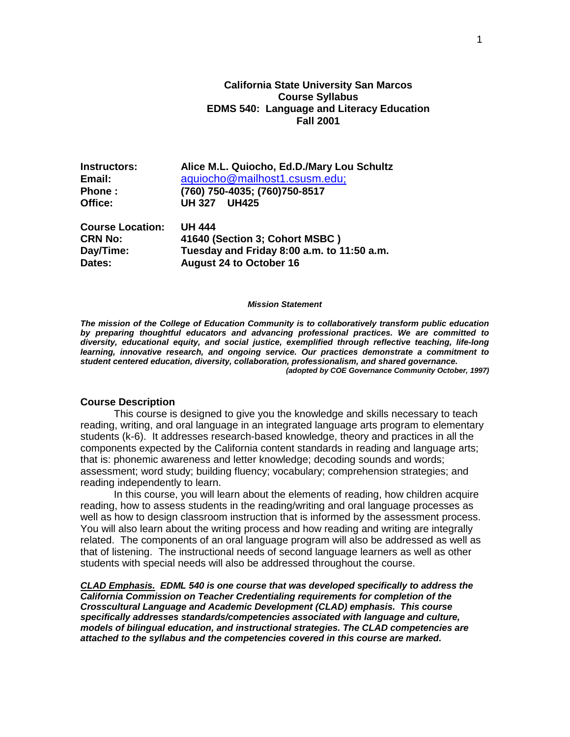# **California State University San Marcos Course Syllabus EDMS 540: Language and Literacy Education Fall 2001**

| Instructors:            | Alice M.L. Quiocho, Ed.D./Mary Lou Schultz |
|-------------------------|--------------------------------------------|
| Email:                  | aquiocho@mailhost1.csusm.edu;              |
| Phone:                  | (760) 750-4035; (760) 750-8517             |
| Office:                 | <b>UH425</b><br><b>UH 327</b>              |
| <b>Course Location:</b> | <b>UH 444</b>                              |
| <b>CRN No:</b>          | 41640 (Section 3; Cohort MSBC)             |
| Day/Time:               | Tuesday and Friday 8:00 a.m. to 11:50 a.m. |

**Dates: August 24 to October 16**

#### *Mission Statement*

*The mission of the College of Education Community is to collaboratively transform public education by preparing thoughtful educators and advancing professional practices. We are committed to diversity, educational equity, and social justice, exemplified through reflective teaching, life-long learning, innovative research, and ongoing service. Our practices demonstrate a commitment to student centered education, diversity, collaboration, professionalism, and shared governance. (adopted by COE Governance Community October, 1997)*

#### **Course Description**

This course is designed to give you the knowledge and skills necessary to teach reading, writing, and oral language in an integrated language arts program to elementary students (k-6). It addresses research-based knowledge, theory and practices in all the components expected by the California content standards in reading and language arts; that is: phonemic awareness and letter knowledge; decoding sounds and words; assessment; word study; building fluency; vocabulary; comprehension strategies; and reading independently to learn.

In this course, you will learn about the elements of reading, how children acquire reading, how to assess students in the reading/writing and oral language processes as well as how to design classroom instruction that is informed by the assessment process. You will also learn about the writing process and how reading and writing are integrally related. The components of an oral language program will also be addressed as well as that of listening. The instructional needs of second language learners as well as other students with special needs will also be addressed throughout the course.

*CLAD Emphasis. EDML 540 is one course that was developed specifically to address the California Commission on Teacher Credentialing requirements for completion of the Crosscultural Language and Academic Development (CLAD) emphasis. This course specifically addresses standards/competencies associated with language and culture, models of bilingual education, and instructional strategies. The CLAD competencies are attached to the syllabus and the competencies covered in this course are marked.*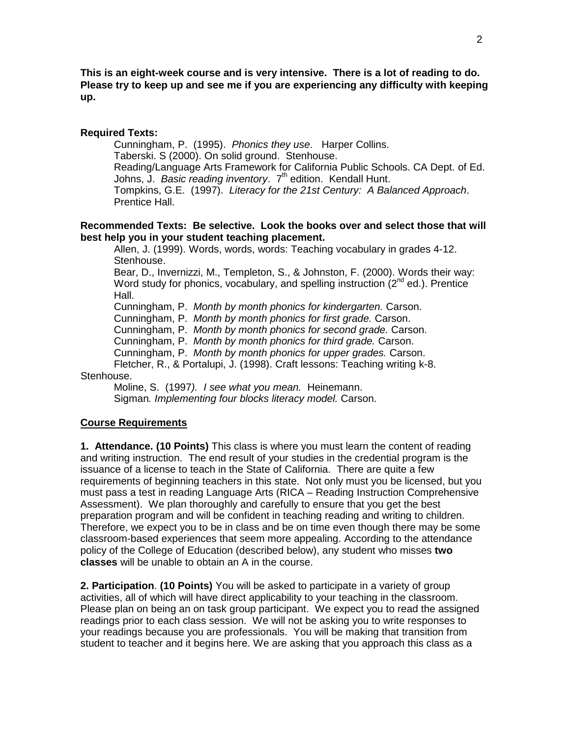**This is an eight-week course and is very intensive. There is a lot of reading to do. Please try to keep up and see me if you are experiencing any difficulty with keeping up.**

# **Required Texts:**

Cunningham, P. (1995). *Phonics they use*. Harper Collins. Taberski. S (2000). On solid ground. Stenhouse. Reading/Language Arts Framework for California Public Schools. CA Dept. of Ed. Johns, J. *Basic reading inventory.* 7<sup>th</sup> edition. Kendall Hunt. Tompkins, G.E. (1997). *Literacy for the 21st Century: A Balanced Approach*. Prentice Hall.

# **Recommended Texts: Be selective. Look the books over and select those that will best help you in your student teaching placement.**

Allen, J. (1999). Words, words, words: Teaching vocabulary in grades 4-12. Stenhouse.

Bear, D., Invernizzi, M., Templeton, S., & Johnston, F. (2000). Words their way: Word study for phonics, vocabulary, and spelling instruction  $(2^{nd}$  ed.). Prentice Hall.

Cunningham, P. *Month by month phonics for kindergarten.* Carson.

Cunningham, P. *Month by month phonics for first grade.* Carson.

Cunningham, P. *Month by month phonics for second grade.* Carson.

Cunningham, P. *Month by month phonics for third grade.* Carson.

Cunningham, P. *Month by month phonics for upper grades.* Carson.

Fletcher, R., & Portalupi, J. (1998). Craft lessons: Teaching writing k-8.

### Stenhouse.

Moline, S. (1997*). I see what you mean.* Heinemann. Sigman*. Implementing four blocks literacy model.* Carson.

# **Course Requirements**

**1. Attendance. (10 Points)** This class is where you must learn the content of reading and writing instruction. The end result of your studies in the credential program is the issuance of a license to teach in the State of California. There are quite a few requirements of beginning teachers in this state. Not only must you be licensed, but you must pass a test in reading Language Arts (RICA – Reading Instruction Comprehensive Assessment). We plan thoroughly and carefully to ensure that you get the best preparation program and will be confident in teaching reading and writing to children. Therefore, we expect you to be in class and be on time even though there may be some classroom-based experiences that seem more appealing. According to the attendance policy of the College of Education (described below), any student who misses **two classes** will be unable to obtain an A in the course.

**2. Participation**. **(10 Points)** You will be asked to participate in a variety of group activities, all of which will have direct applicability to your teaching in the classroom. Please plan on being an on task group participant.We expect you to read the assigned readings prior to each class session. We will not be asking you to write responses to your readings because you are professionals. You will be making that transition from student to teacher and it begins here. We are asking that you approach this class as a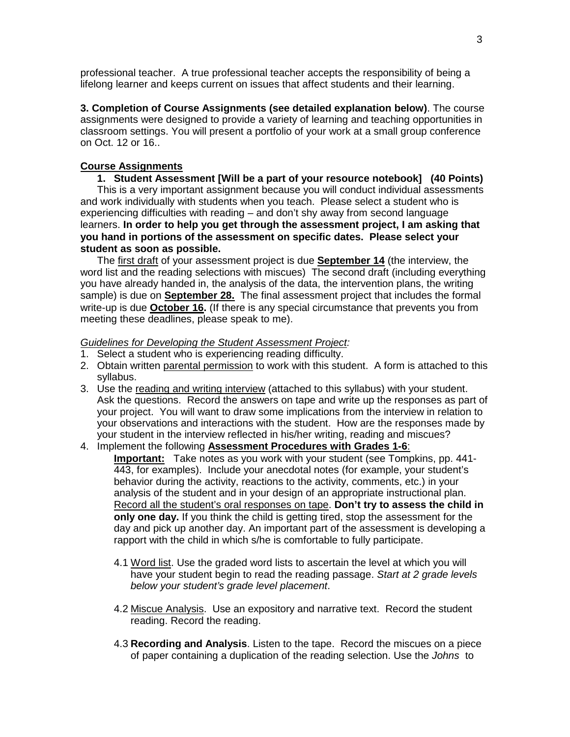professional teacher. A true professional teacher accepts the responsibility of being a lifelong learner and keeps current on issues that affect students and their learning.

**3. Completion of Course Assignments (see detailed explanation below)**. The course assignments were designed to provide a variety of learning and teaching opportunities in classroom settings. You will present a portfolio of your work at a small group conference on Oct. 12 or 16..

# **Course Assignments**

# **1. Student Assessment [Will be a part of your resource notebook] (40 Points)**

This is a very important assignment because you will conduct individual assessments and work individually with students when you teach. Please select a student who is experiencing difficulties with reading – and don't shy away from second language learners. **In order to help you get through the assessment project, I am asking that you hand in portions of the assessment on specific dates. Please select your student as soon as possible.**

The first draft of your assessment project is due **September 14** (the interview, the word list and the reading selections with miscues) The second draft (including everything you have already handed in, the analysis of the data, the intervention plans, the writing sample) is due on **September 28.** The final assessment project that includes the formal write-up is due **October 16.** (If there is any special circumstance that prevents you from meeting these deadlines, please speak to me).

# *Guidelines for Developing the Student Assessment Project:*

- 1. Select a student who is experiencing reading difficulty.
- 2. Obtain written parental permission to work with this student. A form is attached to this syllabus.
- 3. Use the reading and writing interview (attached to this syllabus) with your student. Ask the questions. Record the answers on tape and write up the responses as part of your project. You will want to draw some implications from the interview in relation to your observations and interactions with the student. How are the responses made by your student in the interview reflected in his/her writing, reading and miscues?
- 4. Implement the following **Assessment Procedures with Grades 1-6**:

**Important:** Take notes as you work with your student (see Tompkins, pp. 441- 443, for examples). Include your anecdotal notes (for example, your student's behavior during the activity, reactions to the activity, comments, etc.) in your analysis of the student and in your design of an appropriate instructional plan. Record all the student's oral responses on tape. **Don't try to assess the child in only one day.** If you think the child is getting tired, stop the assessment for the day and pick up another day. An important part of the assessment is developing a rapport with the child in which s/he is comfortable to fully participate.

- 4.1 Word list. Use the graded word lists to ascertain the level at which you will have your student begin to read the reading passage. *Start at 2 grade levels below your student's grade level placement*.
- 4.2 Miscue Analysis. Use an expository and narrative text. Record the student reading. Record the reading.
- 4.3 **Recording and Analysis**. Listen to the tape. Record the miscues on a piece of paper containing a duplication of the reading selection. Use the *Johns* to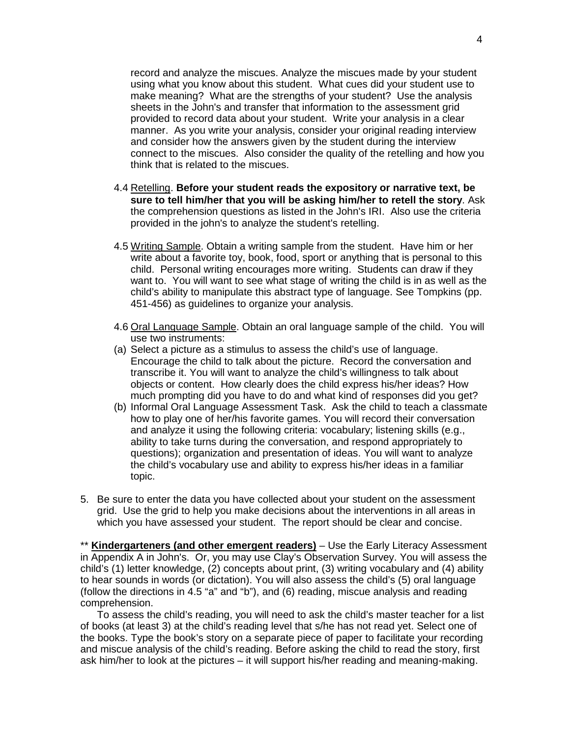record and analyze the miscues. Analyze the miscues made by your student using what you know about this student. What cues did your student use to make meaning? What are the strengths of your student? Use the analysis sheets in the John's and transfer that information to the assessment grid provided to record data about your student. Write your analysis in a clear manner. As you write your analysis, consider your original reading interview and consider how the answers given by the student during the interview connect to the miscues. Also consider the quality of the retelling and how you think that is related to the miscues.

- 4.4 Retelling. **Before your student reads the expository or narrative text, be sure to tell him/her that you will be asking him/her to retell the story**. Ask the comprehension questions as listed in the John's IRI. Also use the criteria provided in the john's to analyze the student's retelling.
- 4.5 Writing Sample. Obtain a writing sample from the student. Have him or her write about a favorite toy, book, food, sport or anything that is personal to this child. Personal writing encourages more writing. Students can draw if they want to. You will want to see what stage of writing the child is in as well as the child's ability to manipulate this abstract type of language. See Tompkins (pp. 451-456) as guidelines to organize your analysis.
- 4.6 Oral Language Sample. Obtain an oral language sample of the child. You will use two instruments:
- (a) Select a picture as a stimulus to assess the child's use of language. Encourage the child to talk about the picture. Record the conversation and transcribe it. You will want to analyze the child's willingness to talk about objects or content. How clearly does the child express his/her ideas? How much prompting did you have to do and what kind of responses did you get?
- (b) Informal Oral Language Assessment Task. Ask the child to teach a classmate how to play one of her/his favorite games. You will record their conversation and analyze it using the following criteria: vocabulary; listening skills (e.g., ability to take turns during the conversation, and respond appropriately to questions); organization and presentation of ideas. You will want to analyze the child's vocabulary use and ability to express his/her ideas in a familiar topic.
- 5. Be sure to enter the data you have collected about your student on the assessment grid. Use the grid to help you make decisions about the interventions in all areas in which you have assessed your student. The report should be clear and concise.

\*\* **Kindergarteners (and other emergent readers)** – Use the Early Literacy Assessment in Appendix A in John's. Or, you may use Clay's Observation Survey. You will assess the child's (1) letter knowledge, (2) concepts about print, (3) writing vocabulary and (4) ability to hear sounds in words (or dictation). You will also assess the child's (5) oral language (follow the directions in 4.5 "a" and "b"), and (6) reading, miscue analysis and reading comprehension.

To assess the child's reading, you will need to ask the child's master teacher for a list of books (at least 3) at the child's reading level that s/he has not read yet. Select one of the books. Type the book's story on a separate piece of paper to facilitate your recording and miscue analysis of the child's reading. Before asking the child to read the story, first ask him/her to look at the pictures – it will support his/her reading and meaning-making.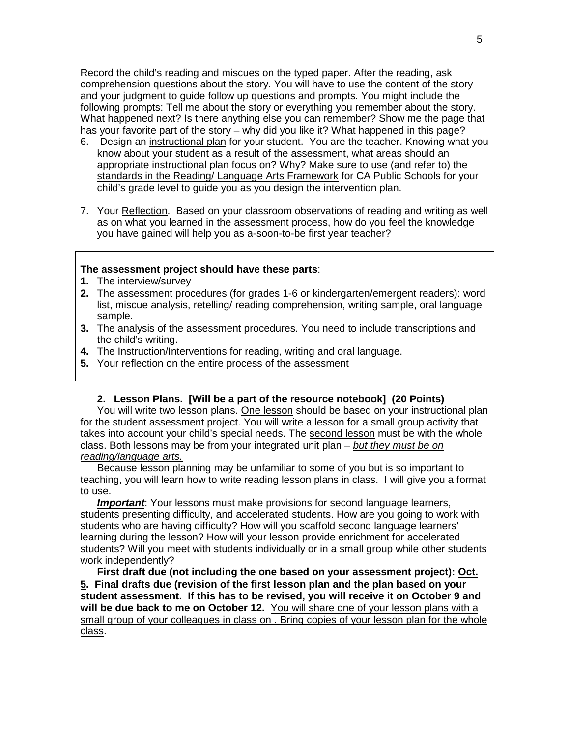Record the child's reading and miscues on the typed paper. After the reading, ask comprehension questions about the story. You will have to use the content of the story and your judgment to guide follow up questions and prompts. You might include the following prompts: Tell me about the story or everything you remember about the story. What happened next? Is there anything else you can remember? Show me the page that has your favorite part of the story – why did you like it? What happened in this page?

- 6. Design an instructional plan for your student. You are the teacher. Knowing what you know about your student as a result of the assessment, what areas should an appropriate instructional plan focus on? Why? Make sure to use (and refer to) the standards in the Reading/ Language Arts Framework for CA Public Schools for your child's grade level to guide you as you design the intervention plan.
- 7. Your Reflection. Based on your classroom observations of reading and writing as well as on what you learned in the assessment process, how do you feel the knowledge you have gained will help you as a-soon-to-be first year teacher?

### **The assessment project should have these parts**:

- **1.** The interview/survey
- **2.** The assessment procedures (for grades 1-6 or kindergarten/emergent readers): word list, miscue analysis, retelling/ reading comprehension, writing sample, oral language sample.
- **3.** The analysis of the assessment procedures. You need to include transcriptions and the child's writing.
- **4.** The Instruction/Interventions for reading, writing and oral language.
- **5.** Your reflection on the entire process of the assessment

# **2. Lesson Plans. [Will be a part of the resource notebook] (20 Points)**

You will write two lesson plans. One lesson should be based on your instructional plan for the student assessment project. You will write a lesson for a small group activity that takes into account your child's special needs. The second lesson must be with the whole class. Both lessons may be from your integrated unit plan – *but they must be on reading/language arts.*

Because lesson planning may be unfamiliar to some of you but is so important to teaching, you will learn how to write reading lesson plans in class. I will give you a format to use.

*Important*: Your lessons must make provisions for second language learners, students presenting difficulty, and accelerated students. How are you going to work with students who are having difficulty? How will you scaffold second language learners' learning during the lesson? How will your lesson provide enrichment for accelerated students? Will you meet with students individually or in a small group while other students work independently?

**First draft due (not including the one based on your assessment project): Oct. 5. Final drafts due (revision of the first lesson plan and the plan based on your student assessment. If this has to be revised, you will receive it on October 9 and will be due back to me on October 12.** You will share one of your lesson plans with a small group of your colleagues in class on . Bring copies of your lesson plan for the whole class.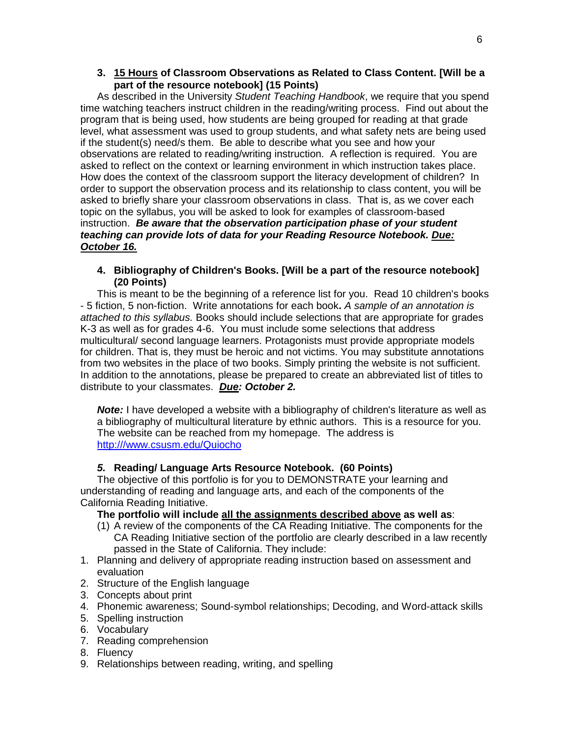# **3. 15 Hours of Classroom Observations as Related to Class Content. [Will be a part of the resource notebook] (15 Points)**

As described in the University *Student Teaching Handbook*, we require that you spend time watching teachers instruct children in the reading/writing process. Find out about the program that is being used, how students are being grouped for reading at that grade level, what assessment was used to group students, and what safety nets are being used if the student(s) need/s them. Be able to describe what you see and how your observations are related to reading/writing instruction.A reflection is required. You are asked to reflect on the context or learning environment in which instruction takes place. How does the context of the classroom support the literacy development of children? In order to support the observation process and its relationship to class content, you will be asked to briefly share your classroom observations in class. That is, as we cover each topic on the syllabus, you will be asked to look for examples of classroom-based instruction. *Be aware that the observation participation phase of your student teaching can provide lots of data for your Reading Resource Notebook. Due: October 16.*

# **4. Bibliography of Children's Books. [Will be a part of the resource notebook] (20 Points)**

This is meant to be the beginning of a reference list for you. Read 10 children's books - 5 fiction, 5 non-fiction. Write annotations for each book**.** *A sample of an annotation is attached to this syllabus.* Books should include selections that are appropriate for grades K-3 as well as for grades 4-6. You must include some selections that address multicultural/ second language learners. Protagonists must provide appropriate models for children. That is, they must be heroic and not victims. You may substitute annotations from two websites in the place of two books. Simply printing the website is not sufficient. In addition to the annotations, please be prepared to create an abbreviated list of titles to distribute to your classmates. *Due: October 2.* 

**Note:** I have developed a website with a bibliography of children's literature as well as a bibliography of multicultural literature by ethnic authors. This is a resource for you. The website can be reached from my homepage. The address is [http:///www.csusm.edu/Quiocho](http://www.csusm.edu/Quiocho)

# *5.* **Reading/ Language Arts Resource Notebook. (60 Points)**

The objective of this portfolio is for you to DEMONSTRATE your learning and understanding of reading and language arts, and each of the components of the California Reading Initiative.

# **The portfolio will include all the assignments described above as well as**:

- (1) A review of the components of the CA Reading Initiative. The components for the CA Reading Initiative section of the portfolio are clearly described in a law recently passed in the State of California. They include:
- 1. Planning and delivery of appropriate reading instruction based on assessment and evaluation
- 2. Structure of the English language
- 3. Concepts about print
- 4. Phonemic awareness; Sound-symbol relationships; Decoding, and Word-attack skills
- 5. Spelling instruction
- 6. Vocabulary
- 7. Reading comprehension
- 8. Fluency
- 9. Relationships between reading, writing, and spelling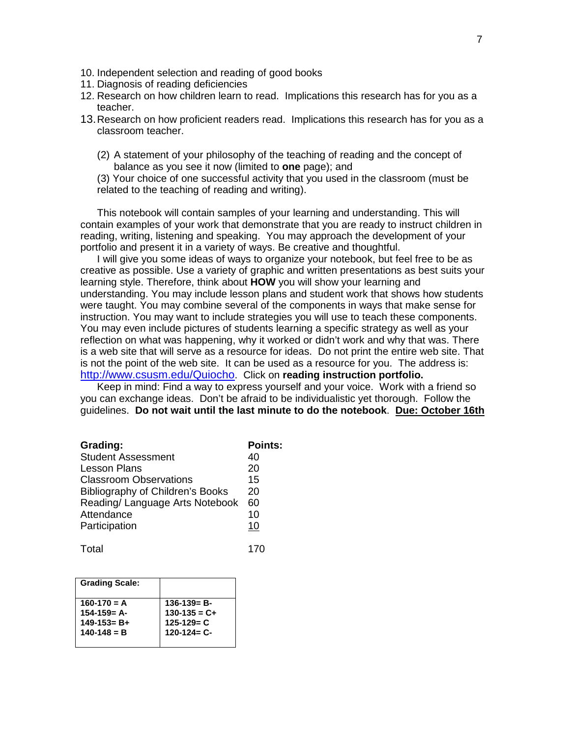- 10. Independent selection and reading of good books
- 11. Diagnosis of reading deficiencies
- 12. Research on how children learn to read. Implications this research has for you as a teacher.
- 13.Research on how proficient readers read. Implications this research has for you as a classroom teacher.
	- (2) A statement of your philosophy of the teaching of reading and the concept of balance as you see it now (limited to **one** page); and

(3) Your choice of one successful activity that you used in the classroom (must be related to the teaching of reading and writing).

This notebook will contain samples of your learning and understanding. This will contain examples of your work that demonstrate that you are ready to instruct children in reading, writing, listening and speaking.You may approach the development of your portfolio and present it in a variety of ways. Be creative and thoughtful.

I will give you some ideas of ways to organize your notebook, but feel free to be as creative as possible. Use a variety of graphic and written presentations as best suits your learning style. Therefore, think about **HOW** you will show your learning and understanding. You may include lesson plans and student work that shows how students were taught. You may combine several of the components in ways that make sense for instruction. You may want to include strategies you will use to teach these components. You may even include pictures of students learning a specific strategy as well as your reflection on what was happening, why it worked or didn't work and why that was. There is a web site that will serve as a resource for ideas. Do not print the entire web site. That is not the point of the web site. It can be used as a resource for you. The address is: [http://www.csusm.edu/Quiocho.](http://www.csusm.edu/Quiocho) Click on **reading instruction portfolio.**

Keep in mind: Find a way to express yourself and your voice. Work with a friend so you can exchange ideas. Don't be afraid to be individualistic yet thorough. Follow the guidelines. **Do not wait until the last minute to do the notebook**. **Due: October 16th**

| Grading:                         | <b>Points:</b> |
|----------------------------------|----------------|
| <b>Student Assessment</b>        | 40             |
| <b>Lesson Plans</b>              | 20             |
| <b>Classroom Observations</b>    | 15             |
| Bibliography of Children's Books | 20             |
| Reading/ Language Arts Notebook  | 60             |
| Attendance                       | 10             |
| Participation                    | 10             |
|                                  |                |

Total 170

| <b>Grading Scale:</b> |                   |
|-----------------------|-------------------|
| $160-170 = A$         | $136-139= B-$     |
| $154 - 159 = A -$     | $130-135 = C +$   |
| $149 - 153 = B +$     | $125 - 129 = C$   |
| $140 - 148 = B$       | $120 - 124 = C -$ |
|                       |                   |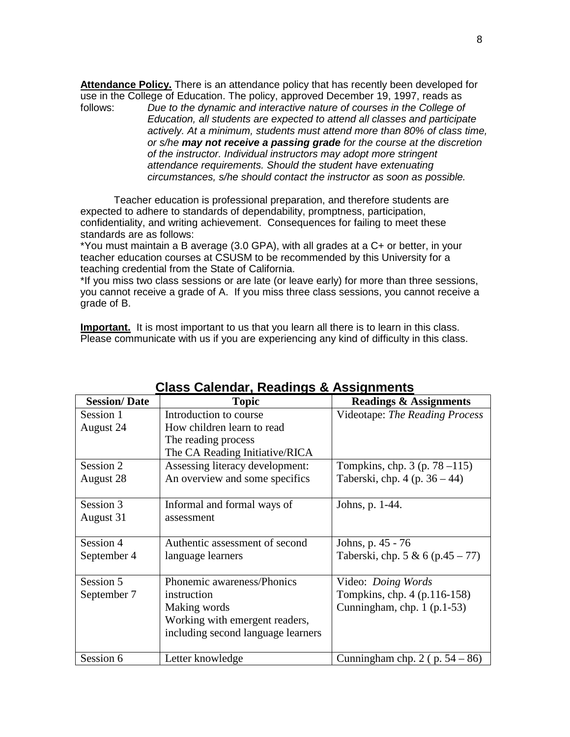Attendance Policy. There is an attendance policy that has recently been developed for use in the College of Education. The policy, approved December 19, 1997, reads as follows:<br>follows: Due to the dynamic and interactive nature of courses in the College of

Due to the dynamic and interactive nature of courses in the College of *Education, all students are expected to attend all classes and participate actively. At a minimum, students must attend more than 80% of class time, or s/he may not receive a passing grade for the course at the discretion of the instructor. Individual instructors may adopt more stringent attendance requirements. Should the student have extenuating circumstances, s/he should contact the instructor as soon as possible.*

Teacher education is professional preparation, and therefore students are expected to adhere to standards of dependability, promptness, participation, confidentiality, and writing achievement. Consequences for failing to meet these standards are as follows:

\*You must maintain a B average (3.0 GPA), with all grades at a C+ or better, in your teacher education courses at CSUSM to be recommended by this University for a teaching credential from the State of California.

\*If you miss two class sessions or are late (or leave early) for more than three sessions, you cannot receive a grade of A. If you miss three class sessions, you cannot receive a grade of B.

**Important.** It is most important to us that you learn all there is to learn in this class. Please communicate with us if you are experiencing any kind of difficulty in this class.

| <b>Session/Date</b> | <b>Topic</b>                       | <b>Readings &amp; Assignments</b>   |
|---------------------|------------------------------------|-------------------------------------|
| Session 1           | Introduction to course             | Videotape: The Reading Process      |
| August 24           | How children learn to read         |                                     |
|                     | The reading process                |                                     |
|                     | The CA Reading Initiative/RICA     |                                     |
| Session 2           | Assessing literacy development:    | Tompkins, chp. $3$ (p. $78 - 115$ ) |
| August 28           | An overview and some specifics     | Taberski, chp. $4$ (p. $36 - 44$ )  |
|                     |                                    |                                     |
| Session 3           | Informal and formal ways of        | Johns, p. 1-44.                     |
| August 31           | assessment                         |                                     |
|                     |                                    |                                     |
| Session 4           | Authentic assessment of second     | Johns, p. 45 - 76                   |
| September 4         | language learners                  | Taberski, chp. 5 & 6 (p.45 – 77)    |
|                     |                                    |                                     |
| Session 5           | Phonemic awareness/Phonics         | Video: Doing Words                  |
| September 7         | instruction                        | Tompkins, chp. 4 (p.116-158)        |
|                     | Making words                       | Cunningham, chp. $1$ (p.1-53)       |
|                     | Working with emergent readers,     |                                     |
|                     | including second language learners |                                     |
|                     |                                    |                                     |
| Session 6           | Letter knowledge                   | Cunningham chp. $2$ (p. $54 - 86$ ) |

# **Class Calendar, Readings & Assignments**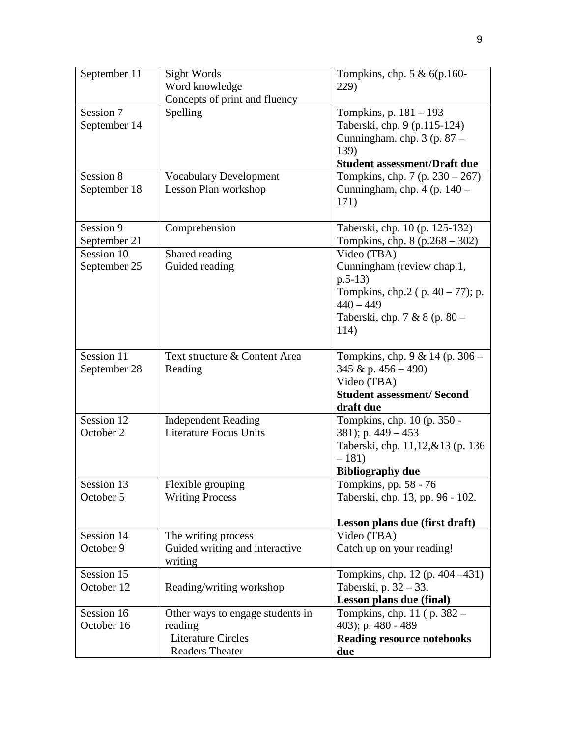| September 11 | Sight Words                      | Tompkins, chp. $5 & 6(p.160 -$                   |
|--------------|----------------------------------|--------------------------------------------------|
|              | Word knowledge                   | 229)                                             |
|              | Concepts of print and fluency    |                                                  |
| Session 7    | Spelling                         | Tompkins, p. 181 – 193                           |
| September 14 |                                  | Taberski, chp. 9 (p.115-124)                     |
|              |                                  | Cunningham. chp. 3 (p. 87 -                      |
|              |                                  | 139)<br><b>Student assessment/Draft due</b>      |
| Session 8    | <b>Vocabulary Development</b>    | Tompkins, chp. 7 (p. $230 - 267$ )               |
| September 18 | Lesson Plan workshop             | Cunningham, chp. $4$ (p. $140 -$                 |
|              |                                  | 171)                                             |
|              |                                  |                                                  |
| Session 9    | Comprehension                    | Taberski, chp. 10 (p. 125-132)                   |
| September 21 |                                  | Tompkins, chp. 8 (p.268 - 302)                   |
| Session 10   | Shared reading                   | Video (TBA)                                      |
| September 25 | Guided reading                   | Cunningham (review chap.1,                       |
|              |                                  | $p.5-13)$                                        |
|              |                                  | Tompkins, chp.2 ( $p. 40 - 77$ ); p.             |
|              |                                  | $440 - 449$                                      |
|              |                                  | Taberski, chp. 7 & 8 (p. 80 –                    |
|              |                                  | 114)                                             |
|              |                                  |                                                  |
| Session 11   | Text structure & Content Area    | Tompkins, chp. $9 & 14$ (p. $306 -$              |
| September 28 | Reading                          | 345 & p. $456 - 490$ )                           |
|              |                                  | Video (TBA)<br><b>Student assessment/ Second</b> |
|              |                                  | draft due                                        |
| Session 12   | <b>Independent Reading</b>       | Tompkins, chp. 10 (p. 350 -                      |
| October 2    | <b>Literature Focus Units</b>    | 381); p. $449 - 453$                             |
|              |                                  | Taberski, chp. 11,12,&13 (p. 136)                |
|              |                                  | $-181)$                                          |
|              |                                  | <b>Bibliography due</b>                          |
| Session 13   | Flexible grouping                | Tompkins, pp. 58 - 76                            |
| October 5    | <b>Writing Process</b>           | Taberski, chp. 13, pp. 96 - 102.                 |
|              |                                  | Lesson plans due (first draft)                   |
| Session 14   | The writing process              | Video (TBA)                                      |
| October 9    | Guided writing and interactive   | Catch up on your reading!                        |
|              | writing                          |                                                  |
| Session 15   |                                  | Tompkins, chp. 12 (p. 404 – 431)                 |
| October 12   | Reading/writing workshop         | Taberski, p. $32 - 33$ .                         |
|              |                                  | Lesson plans due (final)                         |
| Session 16   | Other ways to engage students in | Tompkins, chp. 11 (p. 382 –                      |
| October 16   | reading                          | 403); p. 480 - 489                               |
|              | <b>Literature Circles</b>        | <b>Reading resource notebooks</b>                |
|              | <b>Readers Theater</b>           | due                                              |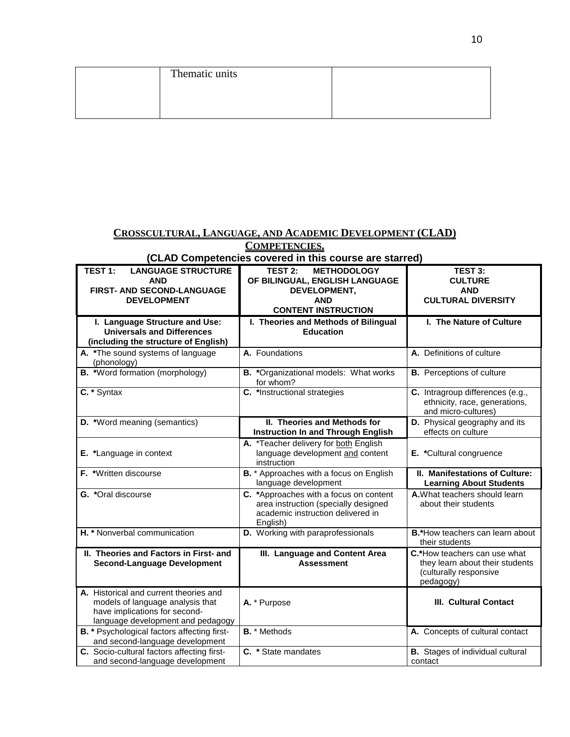| Thematic units |  |
|----------------|--|
|                |  |
|                |  |
|                |  |

# **CROSSCULTURAL, LANGUAGE, AND ACADEMIC DEVELOPMENT (CLAD) COMPETENCIES.**

# **(CLAD Competencies covered in this course are starred)**

| TEST 1:<br><b>LANGUAGE STRUCTURE</b>                                                                                                             | <b>TEST 2:</b><br><b>METHODOLOGY</b>                                                                                            | TEST 3:                                                                                                |
|--------------------------------------------------------------------------------------------------------------------------------------------------|---------------------------------------------------------------------------------------------------------------------------------|--------------------------------------------------------------------------------------------------------|
| <b>AND</b>                                                                                                                                       | OF BILINGUAL, ENGLISH LANGUAGE                                                                                                  | <b>CULTURE</b>                                                                                         |
| FIRST- AND SECOND-LANGUAGE                                                                                                                       | DEVELOPMENT,                                                                                                                    | <b>AND</b>                                                                                             |
| <b>DEVELOPMENT</b>                                                                                                                               | <b>AND</b>                                                                                                                      | <b>CULTURAL DIVERSITY</b>                                                                              |
|                                                                                                                                                  | <b>CONTENT INSTRUCTION</b>                                                                                                      |                                                                                                        |
|                                                                                                                                                  |                                                                                                                                 |                                                                                                        |
| I. Language Structure and Use:<br><b>Universals and Differences</b>                                                                              | I. Theories and Methods of Bilingual<br><b>Education</b>                                                                        | I. The Nature of Culture                                                                               |
|                                                                                                                                                  |                                                                                                                                 |                                                                                                        |
| (including the structure of English)                                                                                                             |                                                                                                                                 |                                                                                                        |
| A. *The sound systems of language<br>(phonology)                                                                                                 | A. Foundations                                                                                                                  | A. Definitions of culture                                                                              |
| B. *Word formation (morphology)                                                                                                                  | <b>B.</b> *Organizational models: What works<br>for whom?                                                                       | <b>B.</b> Perceptions of culture                                                                       |
| C. * Syntax                                                                                                                                      | C. *Instructional strategies                                                                                                    | C. Intragroup differences (e.g.,<br>ethnicity, race, generations,<br>and micro-cultures)               |
| <b>D.</b> *Word meaning (semantics)                                                                                                              | II. Theories and Methods for<br><b>Instruction In and Through English</b>                                                       | D. Physical geography and its<br>effects on culture                                                    |
| E. *Language in context                                                                                                                          | A. *Teacher delivery for both English<br>language development and content<br>instruction                                        | E. *Cultural congruence                                                                                |
| F. *Written discourse                                                                                                                            | <b>B.</b> * Approaches with a focus on English<br>language development                                                          | II. Manifestations of Culture:<br><b>Learning About Students</b>                                       |
| G. *Oral discourse                                                                                                                               | C. *Approaches with a focus on content<br>area instruction (specially designed<br>academic instruction delivered in<br>English) | A. What teachers should learn<br>about their students                                                  |
| H. * Nonverbal communication                                                                                                                     | D. Working with paraprofessionals                                                                                               | B.*How teachers can learn about<br>their students                                                      |
| II. Theories and Factors in First- and<br><b>Second-Language Development</b>                                                                     | III. Language and Content Area<br><b>Assessment</b>                                                                             | C.*How teachers can use what<br>they learn about their students<br>(culturally responsive<br>pedagogy) |
| A. Historical and current theories and<br>models of language analysis that<br>have implications for second-<br>language development and pedagogy | A. * Purpose                                                                                                                    | <b>III. Cultural Contact</b>                                                                           |
| <b>B.</b> * Psychological factors affecting first-<br>and second-language development                                                            | <b>B.</b> * Methods                                                                                                             | A. Concepts of cultural contact                                                                        |
| C. Socio-cultural factors affecting first-<br>and second-language development                                                                    | C. * State mandates                                                                                                             | <b>B.</b> Stages of individual cultural<br>contact                                                     |